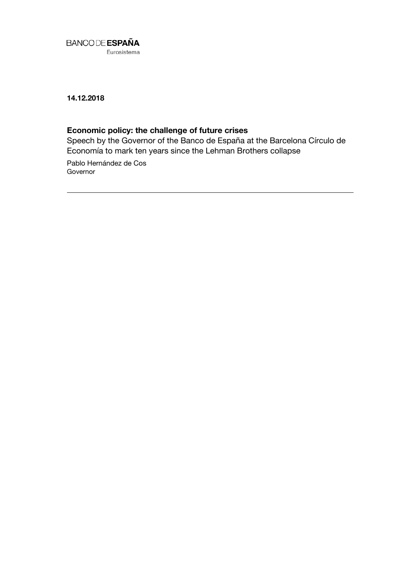

14.12.2018

# Economic policy: the challenge of future crises

Speech by the Governor of the Banco de España at the Barcelona Círculo de Economía to mark ten years since the Lehman Brothers collapse

Pablo Hernández de Cos **Governor**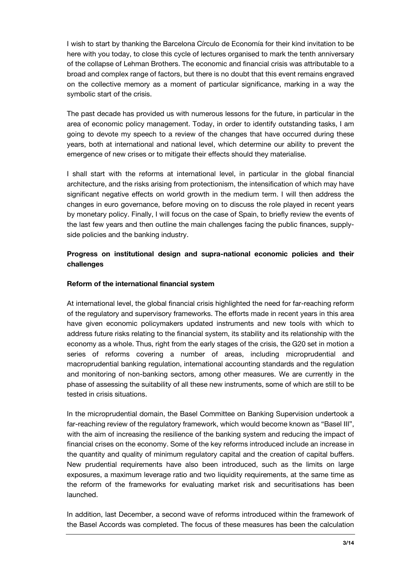I wish to start by thanking the Barcelona Círculo de Economía for their kind invitation to be here with you today, to close this cycle of lectures organised to mark the tenth anniversary of the collapse of Lehman Brothers. The economic and financial crisis was attributable to a broad and complex range of factors, but there is no doubt that this event remains engraved on the collective memory as a moment of particular significance, marking in a way the symbolic start of the crisis.

The past decade has provided us with numerous lessons for the future, in particular in the area of economic policy management. Today, in order to identify outstanding tasks, I am going to devote my speech to a review of the changes that have occurred during these years, both at international and national level, which determine our ability to prevent the emergence of new crises or to mitigate their effects should they materialise.

I shall start with the reforms at international level, in particular in the global financial architecture, and the risks arising from protectionism, the intensification of which may have significant negative effects on world growth in the medium term. I will then address the changes in euro governance, before moving on to discuss the role played in recent years by monetary policy. Finally, I will focus on the case of Spain, to briefly review the events of the last few years and then outline the main challenges facing the public finances, supplyside policies and the banking industry.

## Progress on institutional design and supra-national economic policies and their challenges

### Reform of the international financial system

At international level, the global financial crisis highlighted the need for far-reaching reform of the regulatory and supervisory frameworks. The efforts made in recent years in this area have given economic policymakers updated instruments and new tools with which to address future risks relating to the financial system, its stability and its relationship with the economy as a whole. Thus, right from the early stages of the crisis, the G20 set in motion a series of reforms covering a number of areas, including microprudential and macroprudential banking regulation, international accounting standards and the regulation and monitoring of non-banking sectors, among other measures. We are currently in the phase of assessing the suitability of all these new instruments, some of which are still to be tested in crisis situations.

In the microprudential domain, the Basel Committee on Banking Supervision undertook a far-reaching review of the regulatory framework, which would become known as "Basel III", with the aim of increasing the resilience of the banking system and reducing the impact of financial crises on the economy. Some of the key reforms introduced include an increase in the quantity and quality of minimum regulatory capital and the creation of capital buffers. New prudential requirements have also been introduced, such as the limits on large exposures, a maximum leverage ratio and two liquidity requirements, at the same time as the reform of the frameworks for evaluating market risk and securitisations has been launched.

In addition, last December, a second wave of reforms introduced within the framework of the Basel Accords was completed. The focus of these measures has been the calculation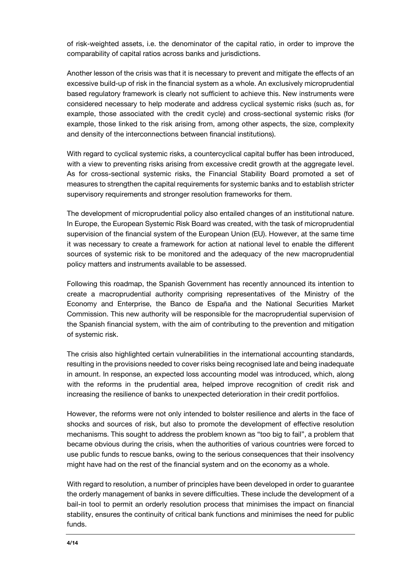of risk-weighted assets, i.e. the denominator of the capital ratio, in order to improve the comparability of capital ratios across banks and jurisdictions.

Another lesson of the crisis was that it is necessary to prevent and mitigate the effects of an excessive build-up of risk in the financial system as a whole. An exclusively microprudential based regulatory framework is clearly not sufficient to achieve this. New instruments were considered necessary to help moderate and address cyclical systemic risks (such as, for example, those associated with the credit cycle) and cross-sectional systemic risks (for example, those linked to the risk arising from, among other aspects, the size, complexity and density of the interconnections between financial institutions).

With regard to cyclical systemic risks, a countercyclical capital buffer has been introduced, with a view to preventing risks arising from excessive credit growth at the aggregate level. As for cross-sectional systemic risks, the Financial Stability Board promoted a set of measures to strengthen the capital requirements for systemic banks and to establish stricter supervisory requirements and stronger resolution frameworks for them.

The development of microprudential policy also entailed changes of an institutional nature. In Europe, the European Systemic Risk Board was created, with the task of microprudential supervision of the financial system of the European Union (EU). However, at the same time it was necessary to create a framework for action at national level to enable the different sources of systemic risk to be monitored and the adequacy of the new macroprudential policy matters and instruments available to be assessed.

Following this roadmap, the Spanish Government has recently announced its intention to create a macroprudential authority comprising representatives of the Ministry of the Economy and Enterprise, the Banco de España and the National Securities Market Commission. This new authority will be responsible for the macroprudential supervision of the Spanish financial system, with the aim of contributing to the prevention and mitigation of systemic risk.

The crisis also highlighted certain vulnerabilities in the international accounting standards, resulting in the provisions needed to cover risks being recognised late and being inadequate in amount. In response, an expected loss accounting model was introduced, which, along with the reforms in the prudential area, helped improve recognition of credit risk and increasing the resilience of banks to unexpected deterioration in their credit portfolios.

However, the reforms were not only intended to bolster resilience and alerts in the face of shocks and sources of risk, but also to promote the development of effective resolution mechanisms. This sought to address the problem known as "too big to fail", a problem that became obvious during the crisis, when the authorities of various countries were forced to use public funds to rescue banks, owing to the serious consequences that their insolvency might have had on the rest of the financial system and on the economy as a whole.

With regard to resolution, a number of principles have been developed in order to guarantee the orderly management of banks in severe difficulties. These include the development of a bail-in tool to permit an orderly resolution process that minimises the impact on financial stability, ensures the continuity of critical bank functions and minimises the need for public funds.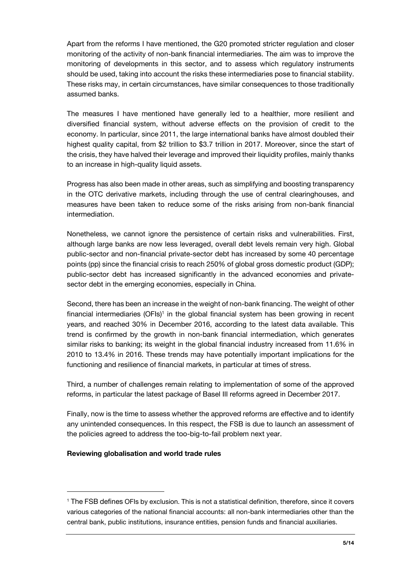Apart from the reforms I have mentioned, the G20 promoted stricter regulation and closer monitoring of the activity of non-bank financial intermediaries. The aim was to improve the monitoring of developments in this sector, and to assess which regulatory instruments should be used, taking into account the risks these intermediaries pose to financial stability. These risks may, in certain circumstances, have similar consequences to those traditionally assumed banks.

The measures I have mentioned have generally led to a healthier, more resilient and diversified financial system, without adverse effects on the provision of credit to the economy. In particular, since 2011, the large international banks have almost doubled their highest quality capital, from \$2 trillion to \$3.7 trillion in 2017. Moreover, since the start of the crisis, they have halved their leverage and improved their liquidity profiles, mainly thanks to an increase in high-quality liquid assets.

Progress has also been made in other areas, such as simplifying and boosting transparency in the OTC derivative markets, including through the use of central clearinghouses, and measures have been taken to reduce some of the risks arising from non-bank financial intermediation.

Nonetheless, we cannot ignore the persistence of certain risks and vulnerabilities. First, although large banks are now less leveraged, overall debt levels remain very high. Global public-sector and non-financial private-sector debt has increased by some 40 percentage points (pp) since the financial crisis to reach 250% of global gross domestic product (GDP); public-sector debt has increased significantly in the advanced economies and privatesector debt in the emerging economies, especially in China.

Second, there has been an increase in the weight of non-bank financing. The weight of other financial intermediaries (OFIs)<sup>1</sup> in the global financial system has been growing in recent years, and reached 30% in December 2016, according to the latest data available. This trend is confirmed by the growth in non-bank financial intermediation, which generates similar risks to banking; its weight in the global financial industry increased from 11.6% in 2010 to 13.4% in 2016. These trends may have potentially important implications for the functioning and resilience of financial markets, in particular at times of stress.

Third, a number of challenges remain relating to implementation of some of the approved reforms, in particular the latest package of Basel III reforms agreed in December 2017.

Finally, now is the time to assess whether the approved reforms are effective and to identify any unintended consequences. In this respect, the FSB is due to launch an assessment of the policies agreed to address the too-big-to-fail problem next year.

#### Reviewing globalisation and world trade rules

j

<sup>1</sup> The FSB defines OFIs by exclusion. This is not a statistical definition, therefore, since it covers various categories of the national financial accounts: all non-bank intermediaries other than the central bank, public institutions, insurance entities, pension funds and financial auxiliaries.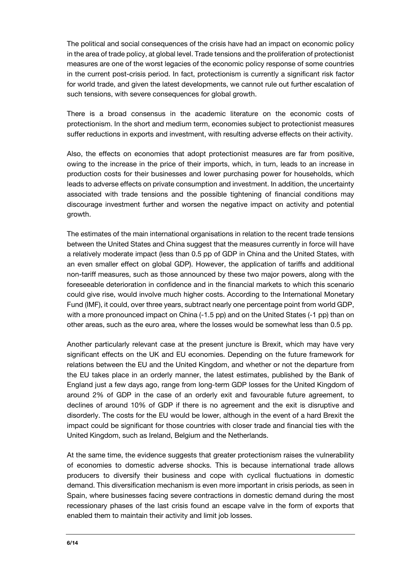The political and social consequences of the crisis have had an impact on economic policy in the area of trade policy, at global level. Trade tensions and the proliferation of protectionist measures are one of the worst legacies of the economic policy response of some countries in the current post-crisis period. In fact, protectionism is currently a significant risk factor for world trade, and given the latest developments, we cannot rule out further escalation of such tensions, with severe consequences for global growth.

There is a broad consensus in the academic literature on the economic costs of protectionism. In the short and medium term, economies subject to protectionist measures suffer reductions in exports and investment, with resulting adverse effects on their activity.

Also, the effects on economies that adopt protectionist measures are far from positive, owing to the increase in the price of their imports, which, in turn, leads to an increase in production costs for their businesses and lower purchasing power for households, which leads to adverse effects on private consumption and investment. In addition, the uncertainty associated with trade tensions and the possible tightening of financial conditions may discourage investment further and worsen the negative impact on activity and potential growth.

The estimates of the main international organisations in relation to the recent trade tensions between the United States and China suggest that the measures currently in force will have a relatively moderate impact (less than 0.5 pp of GDP in China and the United States, with an even smaller effect on global GDP). However, the application of tariffs and additional non-tariff measures, such as those announced by these two major powers, along with the foreseeable deterioration in confidence and in the financial markets to which this scenario could give rise, would involve much higher costs. According to the International Monetary Fund (IMF), it could, over three years, subtract nearly one percentage point from world GDP, with a more pronounced impact on China (-1.5 pp) and on the United States (-1 pp) than on other areas, such as the euro area, where the losses would be somewhat less than 0.5 pp.

Another particularly relevant case at the present juncture is Brexit, which may have very significant effects on the UK and EU economies. Depending on the future framework for relations between the EU and the United Kingdom, and whether or not the departure from the EU takes place in an orderly manner, the latest estimates, published by the Bank of England just a few days ago, range from long-term GDP losses for the United Kingdom of around 2% of GDP in the case of an orderly exit and favourable future agreement, to declines of around 10% of GDP if there is no agreement and the exit is disruptive and disorderly. The costs for the EU would be lower, although in the event of a hard Brexit the impact could be significant for those countries with closer trade and financial ties with the United Kingdom, such as Ireland, Belgium and the Netherlands.

At the same time, the evidence suggests that greater protectionism raises the vulnerability of economies to domestic adverse shocks. This is because international trade allows producers to diversify their business and cope with cyclical fluctuations in domestic demand. This diversification mechanism is even more important in crisis periods, as seen in Spain, where businesses facing severe contractions in domestic demand during the most recessionary phases of the last crisis found an escape valve in the form of exports that enabled them to maintain their activity and limit job losses.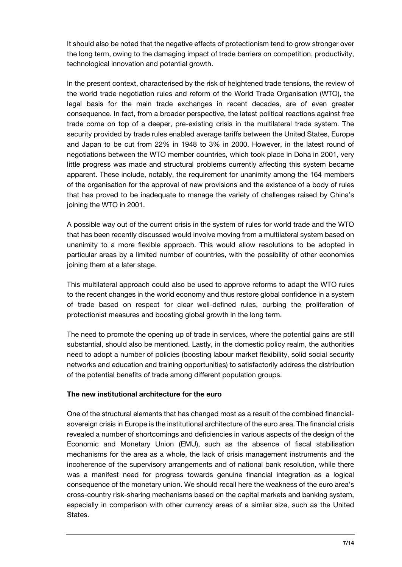It should also be noted that the negative effects of protectionism tend to grow stronger over the long term, owing to the damaging impact of trade barriers on competition, productivity, technological innovation and potential growth.

In the present context, characterised by the risk of heightened trade tensions, the review of the world trade negotiation rules and reform of the World Trade Organisation (WTO), the legal basis for the main trade exchanges in recent decades, are of even greater consequence. In fact, from a broader perspective, the latest political reactions against free trade come on top of a deeper, pre-existing crisis in the multilateral trade system. The security provided by trade rules enabled average tariffs between the United States, Europe and Japan to be cut from 22% in 1948 to 3% in 2000. However, in the latest round of negotiations between the WTO member countries, which took place in Doha in 2001, very little progress was made and structural problems currently affecting this system became apparent. These include, notably, the requirement for unanimity among the 164 members of the organisation for the approval of new provisions and the existence of a body of rules that has proved to be inadequate to manage the variety of challenges raised by China's joining the WTO in 2001.

A possible way out of the current crisis in the system of rules for world trade and the WTO that has been recently discussed would involve moving from a multilateral system based on unanimity to a more flexible approach. This would allow resolutions to be adopted in particular areas by a limited number of countries, with the possibility of other economies joining them at a later stage.

This multilateral approach could also be used to approve reforms to adapt the WTO rules to the recent changes in the world economy and thus restore global confidence in a system of trade based on respect for clear well-defined rules, curbing the proliferation of protectionist measures and boosting global growth in the long term.

The need to promote the opening up of trade in services, where the potential gains are still substantial, should also be mentioned. Lastly, in the domestic policy realm, the authorities need to adopt a number of policies (boosting labour market flexibility, solid social security networks and education and training opportunities) to satisfactorily address the distribution of the potential benefits of trade among different population groups.

#### The new institutional architecture for the euro

One of the structural elements that has changed most as a result of the combined financialsovereign crisis in Europe is the institutional architecture of the euro area. The financial crisis revealed a number of shortcomings and deficiencies in various aspects of the design of the Economic and Monetary Union (EMU), such as the absence of fiscal stabilisation mechanisms for the area as a whole, the lack of crisis management instruments and the incoherence of the supervisory arrangements and of national bank resolution, while there was a manifest need for progress towards genuine financial integration as a logical consequence of the monetary union. We should recall here the weakness of the euro area's cross-country risk-sharing mechanisms based on the capital markets and banking system, especially in comparison with other currency areas of a similar size, such as the United States.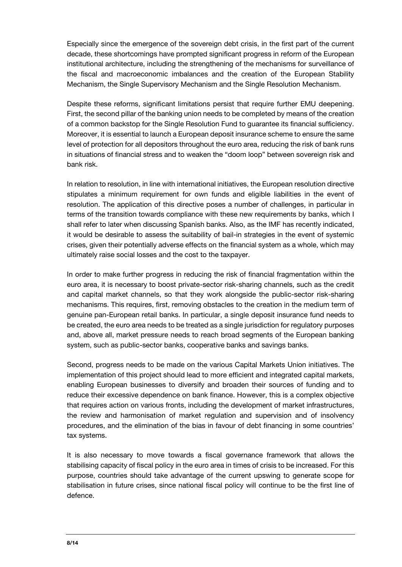Especially since the emergence of the sovereign debt crisis, in the first part of the current decade, these shortcomings have prompted significant progress in reform of the European institutional architecture, including the strengthening of the mechanisms for surveillance of the fiscal and macroeconomic imbalances and the creation of the European Stability Mechanism, the Single Supervisory Mechanism and the Single Resolution Mechanism.

Despite these reforms, significant limitations persist that require further EMU deepening. First, the second pillar of the banking union needs to be completed by means of the creation of a common backstop for the Single Resolution Fund to guarantee its financial sufficiency. Moreover, it is essential to launch a European deposit insurance scheme to ensure the same level of protection for all depositors throughout the euro area, reducing the risk of bank runs in situations of financial stress and to weaken the "doom loop" between sovereign risk and bank risk.

In relation to resolution, in line with international initiatives, the European resolution directive stipulates a minimum requirement for own funds and eligible liabilities in the event of resolution. The application of this directive poses a number of challenges, in particular in terms of the transition towards compliance with these new requirements by banks, which I shall refer to later when discussing Spanish banks. Also, as the IMF has recently indicated, it would be desirable to assess the suitability of bail-in strategies in the event of systemic crises, given their potentially adverse effects on the financial system as a whole, which may ultimately raise social losses and the cost to the taxpayer.

In order to make further progress in reducing the risk of financial fragmentation within the euro area, it is necessary to boost private-sector risk-sharing channels, such as the credit and capital market channels, so that they work alongside the public-sector risk-sharing mechanisms. This requires, first, removing obstacles to the creation in the medium term of genuine pan-European retail banks. In particular, a single deposit insurance fund needs to be created, the euro area needs to be treated as a single jurisdiction for regulatory purposes and, above all, market pressure needs to reach broad segments of the European banking system, such as public-sector banks, cooperative banks and savings banks.

Second, progress needs to be made on the various Capital Markets Union initiatives. The implementation of this project should lead to more efficient and integrated capital markets, enabling European businesses to diversify and broaden their sources of funding and to reduce their excessive dependence on bank finance. However, this is a complex objective that requires action on various fronts, including the development of market infrastructures, the review and harmonisation of market regulation and supervision and of insolvency procedures, and the elimination of the bias in favour of debt financing in some countries' tax systems.

It is also necessary to move towards a fiscal governance framework that allows the stabilising capacity of fiscal policy in the euro area in times of crisis to be increased. For this purpose, countries should take advantage of the current upswing to generate scope for stabilisation in future crises, since national fiscal policy will continue to be the first line of defence.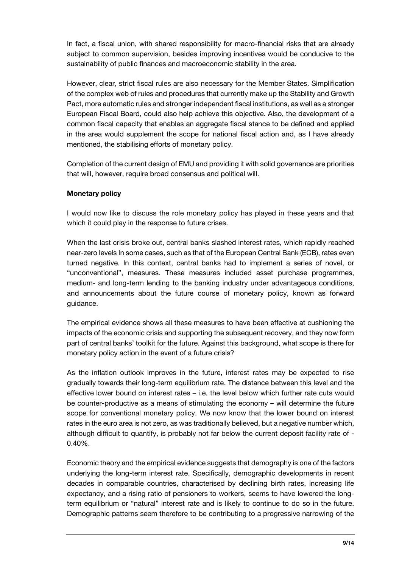In fact, a fiscal union, with shared responsibility for macro-financial risks that are already subject to common supervision, besides improving incentives would be conducive to the sustainability of public finances and macroeconomic stability in the area.

However, clear, strict fiscal rules are also necessary for the Member States. Simplification of the complex web of rules and procedures that currently make up the Stability and Growth Pact, more automatic rules and stronger independent fiscal institutions, as well as a stronger European Fiscal Board, could also help achieve this objective. Also, the development of a common fiscal capacity that enables an aggregate fiscal stance to be defined and applied in the area would supplement the scope for national fiscal action and, as I have already mentioned, the stabilising efforts of monetary policy.

Completion of the current design of EMU and providing it with solid governance are priorities that will, however, require broad consensus and political will.

## Monetary policy

I would now like to discuss the role monetary policy has played in these years and that which it could play in the response to future crises.

When the last crisis broke out, central banks slashed interest rates, which rapidly reached near-zero levels In some cases, such as that of the European Central Bank (ECB), rates even turned negative. In this context, central banks had to implement a series of novel, or "unconventional", measures. These measures included asset purchase programmes, medium- and long-term lending to the banking industry under advantageous conditions, and announcements about the future course of monetary policy, known as forward guidance.

The empirical evidence shows all these measures to have been effective at cushioning the impacts of the economic crisis and supporting the subsequent recovery, and they now form part of central banks' toolkit for the future. Against this background, what scope is there for monetary policy action in the event of a future crisis?

As the inflation outlook improves in the future, interest rates may be expected to rise gradually towards their long-term equilibrium rate. The distance between this level and the effective lower bound on interest rates – i.e. the level below which further rate cuts would be counter-productive as a means of stimulating the economy – will determine the future scope for conventional monetary policy. We now know that the lower bound on interest rates in the euro area is not zero, as was traditionally believed, but a negative number which, although difficult to quantify, is probably not far below the current deposit facility rate of - 0.40%.

Economic theory and the empirical evidence suggests that demography is one of the factors underlying the long-term interest rate. Specifically, demographic developments in recent decades in comparable countries, characterised by declining birth rates, increasing life expectancy, and a rising ratio of pensioners to workers, seems to have lowered the longterm equilibrium or "natural" interest rate and is likely to continue to do so in the future. Demographic patterns seem therefore to be contributing to a progressive narrowing of the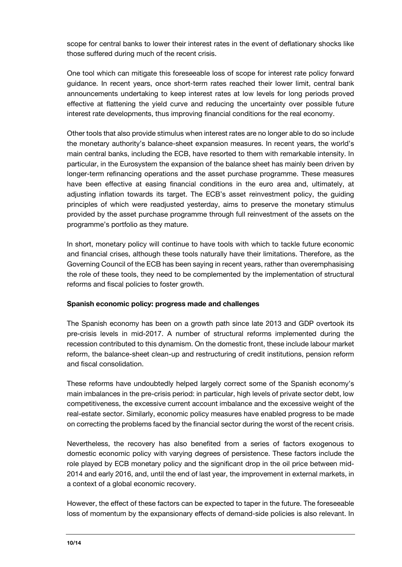scope for central banks to lower their interest rates in the event of deflationary shocks like those suffered during much of the recent crisis.

One tool which can mitigate this foreseeable loss of scope for interest rate policy forward guidance. In recent years, once short-term rates reached their lower limit, central bank announcements undertaking to keep interest rates at low levels for long periods proved effective at flattening the yield curve and reducing the uncertainty over possible future interest rate developments, thus improving financial conditions for the real economy.

Other tools that also provide stimulus when interest rates are no longer able to do so include the monetary authority's balance-sheet expansion measures. In recent years, the world's main central banks, including the ECB, have resorted to them with remarkable intensity. In particular, in the Eurosystem the expansion of the balance sheet has mainly been driven by longer-term refinancing operations and the asset purchase programme. These measures have been effective at easing financial conditions in the euro area and, ultimately, at adjusting inflation towards its target. The ECB's asset reinvestment policy, the guiding principles of which were readjusted yesterday, aims to preserve the monetary stimulus provided by the asset purchase programme through full reinvestment of the assets on the programme's portfolio as they mature.

In short, monetary policy will continue to have tools with which to tackle future economic and financial crises, although these tools naturally have their limitations. Therefore, as the Governing Council of the ECB has been saying in recent years, rather than overemphasising the role of these tools, they need to be complemented by the implementation of structural reforms and fiscal policies to foster growth.

#### Spanish economic policy: progress made and challenges

The Spanish economy has been on a growth path since late 2013 and GDP overtook its pre-crisis levels in mid-2017. A number of structural reforms implemented during the recession contributed to this dynamism. On the domestic front, these include labour market reform, the balance-sheet clean-up and restructuring of credit institutions, pension reform and fiscal consolidation.

These reforms have undoubtedly helped largely correct some of the Spanish economy's main imbalances in the pre-crisis period: in particular, high levels of private sector debt, low competitiveness, the excessive current account imbalance and the excessive weight of the real-estate sector. Similarly, economic policy measures have enabled progress to be made on correcting the problems faced by the financial sector during the worst of the recent crisis.

Nevertheless, the recovery has also benefited from a series of factors exogenous to domestic economic policy with varying degrees of persistence. These factors include the role played by ECB monetary policy and the significant drop in the oil price between mid-2014 and early 2016, and, until the end of last year, the improvement in external markets, in a context of a global economic recovery.

However, the effect of these factors can be expected to taper in the future. The foreseeable loss of momentum by the expansionary effects of demand-side policies is also relevant. In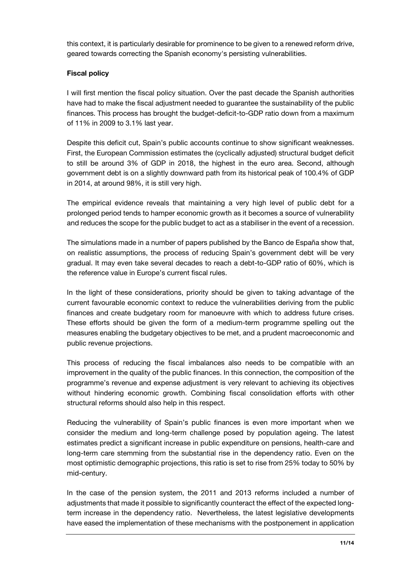this context, it is particularly desirable for prominence to be given to a renewed reform drive, geared towards correcting the Spanish economy's persisting vulnerabilities.

## Fiscal policy

I will first mention the fiscal policy situation. Over the past decade the Spanish authorities have had to make the fiscal adjustment needed to guarantee the sustainability of the public finances. This process has brought the budget-deficit-to-GDP ratio down from a maximum of 11% in 2009 to 3.1% last year.

Despite this deficit cut, Spain's public accounts continue to show significant weaknesses. First, the European Commission estimates the (cyclically adjusted) structural budget deficit to still be around 3% of GDP in 2018, the highest in the euro area. Second, although government debt is on a slightly downward path from its historical peak of 100.4% of GDP in 2014, at around 98%, it is still very high.

The empirical evidence reveals that maintaining a very high level of public debt for a prolonged period tends to hamper economic growth as it becomes a source of vulnerability and reduces the scope for the public budget to act as a stabiliser in the event of a recession.

The simulations made in a number of papers published by the Banco de España show that, on realistic assumptions, the process of reducing Spain's government debt will be very gradual. It may even take several decades to reach a debt-to-GDP ratio of 60%, which is the reference value in Europe's current fiscal rules.

In the light of these considerations, priority should be given to taking advantage of the current favourable economic context to reduce the vulnerabilities deriving from the public finances and create budgetary room for manoeuvre with which to address future crises. These efforts should be given the form of a medium-term programme spelling out the measures enabling the budgetary objectives to be met, and a prudent macroeconomic and public revenue projections.

This process of reducing the fiscal imbalances also needs to be compatible with an improvement in the quality of the public finances. In this connection, the composition of the programme's revenue and expense adjustment is very relevant to achieving its objectives without hindering economic growth. Combining fiscal consolidation efforts with other structural reforms should also help in this respect.

Reducing the vulnerability of Spain's public finances is even more important when we consider the medium and long-term challenge posed by population ageing. The latest estimates predict a significant increase in public expenditure on pensions, health-care and long-term care stemming from the substantial rise in the dependency ratio. Even on the most optimistic demographic projections, this ratio is set to rise from 25% today to 50% by mid-century.

In the case of the pension system, the 2011 and 2013 reforms included a number of adjustments that made it possible to significantly counteract the effect of the expected longterm increase in the dependency ratio. Nevertheless, the latest legislative developments have eased the implementation of these mechanisms with the postponement in application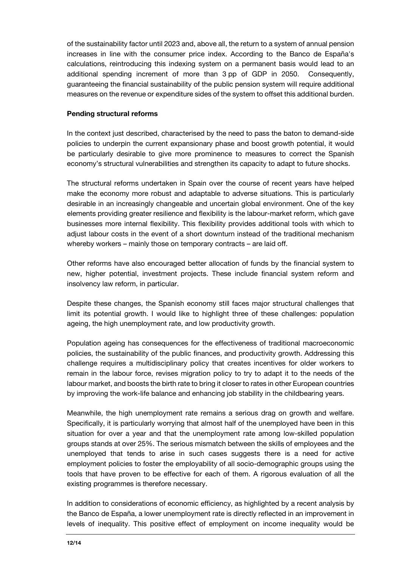of the sustainability factor until 2023 and, above all, the return to a system of annual pension increases in line with the consumer price index. According to the Banco de España's calculations, reintroducing this indexing system on a permanent basis would lead to an additional spending increment of more than 3 pp of GDP in 2050. Consequently, guaranteeing the financial sustainability of the public pension system will require additional measures on the revenue or expenditure sides of the system to offset this additional burden.

### Pending structural reforms

In the context just described, characterised by the need to pass the baton to demand-side policies to underpin the current expansionary phase and boost growth potential, it would be particularly desirable to give more prominence to measures to correct the Spanish economy's structural vulnerabilities and strengthen its capacity to adapt to future shocks.

The structural reforms undertaken in Spain over the course of recent years have helped make the economy more robust and adaptable to adverse situations. This is particularly desirable in an increasingly changeable and uncertain global environment. One of the key elements providing greater resilience and flexibility is the labour-market reform, which gave businesses more internal flexibility. This flexibility provides additional tools with which to adjust labour costs in the event of a short downturn instead of the traditional mechanism whereby workers – mainly those on temporary contracts – are laid off.

Other reforms have also encouraged better allocation of funds by the financial system to new, higher potential, investment projects. These include financial system reform and insolvency law reform, in particular.

Despite these changes, the Spanish economy still faces major structural challenges that limit its potential growth. I would like to highlight three of these challenges: population ageing, the high unemployment rate, and low productivity growth.

Population ageing has consequences for the effectiveness of traditional macroeconomic policies, the sustainability of the public finances, and productivity growth. Addressing this challenge requires a multidisciplinary policy that creates incentives for older workers to remain in the labour force, revises migration policy to try to adapt it to the needs of the labour market, and boosts the birth rate to bring it closer to rates in other European countries by improving the work-life balance and enhancing job stability in the childbearing years.

Meanwhile, the high unemployment rate remains a serious drag on growth and welfare. Specifically, it is particularly worrying that almost half of the unemployed have been in this situation for over a year and that the unemployment rate among low-skilled population groups stands at over 25%. The serious mismatch between the skills of employees and the unemployed that tends to arise in such cases suggests there is a need for active employment policies to foster the employability of all socio-demographic groups using the tools that have proven to be effective for each of them. A rigorous evaluation of all the existing programmes is therefore necessary.

In addition to considerations of economic efficiency, as highlighted by a recent analysis by the Banco de España, a lower unemployment rate is directly reflected in an improvement in levels of inequality. This positive effect of employment on income inequality would be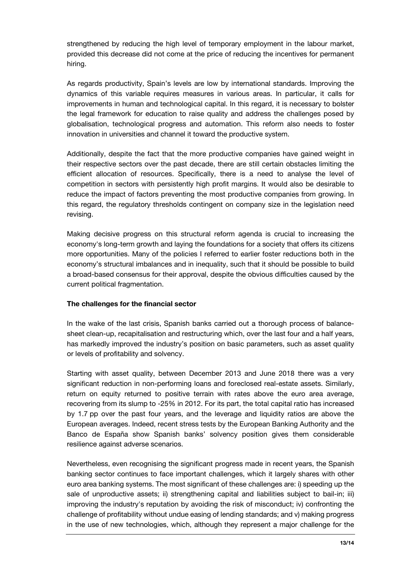strengthened by reducing the high level of temporary employment in the labour market, provided this decrease did not come at the price of reducing the incentives for permanent hiring.

As regards productivity, Spain's levels are low by international standards. Improving the dynamics of this variable requires measures in various areas. In particular, it calls for improvements in human and technological capital. In this regard, it is necessary to bolster the legal framework for education to raise quality and address the challenges posed by globalisation, technological progress and automation. This reform also needs to foster innovation in universities and channel it toward the productive system.

Additionally, despite the fact that the more productive companies have gained weight in their respective sectors over the past decade, there are still certain obstacles limiting the efficient allocation of resources. Specifically, there is a need to analyse the level of competition in sectors with persistently high profit margins. It would also be desirable to reduce the impact of factors preventing the most productive companies from growing. In this regard, the regulatory thresholds contingent on company size in the legislation need revising.

Making decisive progress on this structural reform agenda is crucial to increasing the economy's long-term growth and laying the foundations for a society that offers its citizens more opportunities. Many of the policies I referred to earlier foster reductions both in the economy's structural imbalances and in inequality, such that it should be possible to build a broad-based consensus for their approval, despite the obvious difficulties caused by the current political fragmentation.

#### The challenges for the financial sector

In the wake of the last crisis, Spanish banks carried out a thorough process of balancesheet clean-up, recapitalisation and restructuring which, over the last four and a half years, has markedly improved the industry's position on basic parameters, such as asset quality or levels of profitability and solvency.

Starting with asset quality, between December 2013 and June 2018 there was a very significant reduction in non-performing loans and foreclosed real-estate assets. Similarly, return on equity returned to positive terrain with rates above the euro area average, recovering from its slump to -25% in 2012. For its part, the total capital ratio has increased by 1.7 pp over the past four years, and the leverage and liquidity ratios are above the European averages. Indeed, recent stress tests by the European Banking Authority and the Banco de España show Spanish banks' solvency position gives them considerable resilience against adverse scenarios.

Nevertheless, even recognising the significant progress made in recent years, the Spanish banking sector continues to face important challenges, which it largely shares with other euro area banking systems. The most significant of these challenges are: i) speeding up the sale of unproductive assets; ii) strengthening capital and liabilities subject to bail-in; iii) improving the industry's reputation by avoiding the risk of misconduct; iv) confronting the challenge of profitability without undue easing of lending standards; and v) making progress in the use of new technologies, which, although they represent a major challenge for the